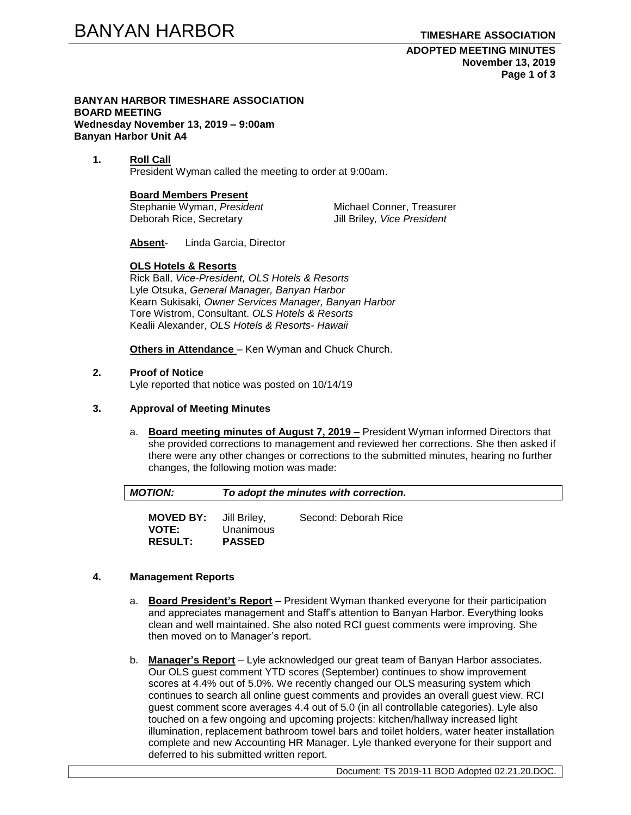**ADOPTED MEETING MINUTES November 13, 2019 Page 1 of 3**

#### **BANYAN HARBOR TIMESHARE ASSOCIATION BOARD MEETING Wednesday November 13, 2019 – 9:00am Banyan Harbor Unit A4**

#### **1. Roll Call** President Wyman called the meeting to order at 9:00am.

# **Board Members Present**

Stephanie Wyman, President Michael Conner, Treasurer Deborah Rice, Secretary Jill Briley*, Vice President*

**Absent**- Linda Garcia, Director

# **OLS Hotels & Resorts**

Rick Ball, *Vice-President, OLS Hotels & Resorts* Lyle Otsuka, *General Manager, Banyan Harbor* Kearn Sukisaki*, Owner Services Manager, Banyan Harbor* Tore Wistrom, Consultant. *OLS Hotels & Resorts*  Kealii Alexander, *OLS Hotels & Resorts- Hawaii*

**Others in Attendance** – Ken Wyman and Chuck Church.

# **2. Proof of Notice**

Lyle reported that notice was posted on 10/14/19

# **3. Approval of Meeting Minutes**

a. **Board meeting minutes of August 7, 2019 –** President Wyman informed Directors that she provided corrections to management and reviewed her corrections. She then asked if there were any other changes or corrections to the submitted minutes, hearing no further changes, the following motion was made:

| <b>MOTION:</b>                                                  | To adopt the minutes with correction. |                      |  |
|-----------------------------------------------------------------|---------------------------------------|----------------------|--|
| <b>MOVED BY:</b> Jill Briley,<br><b>VOTE:</b><br><b>RESULT:</b> | Unanimous<br><b>PASSED</b>            | Second: Deborah Rice |  |

# **4. Management Reports**

- a. **Board President's Report –** President Wyman thanked everyone for their participation and appreciates management and Staff's attention to Banyan Harbor. Everything looks clean and well maintained. She also noted RCI guest comments were improving. She then moved on to Manager's report.
- b. **Manager's Report** Lyle acknowledged our great team of Banyan Harbor associates. Our OLS guest comment YTD scores (September) continues to show improvement scores at 4.4% out of 5.0%. We recently changed our OLS measuring system which continues to search all online guest comments and provides an overall guest view. RCI guest comment score averages 4.4 out of 5.0 (in all controllable categories). Lyle also touched on a few ongoing and upcoming projects: kitchen/hallway increased light illumination, replacement bathroom towel bars and toilet holders, water heater installation complete and new Accounting HR Manager. Lyle thanked everyone for their support and deferred to his submitted written report.

Document: TS 2019-11 BOD Adopted 02.21.20.DOC.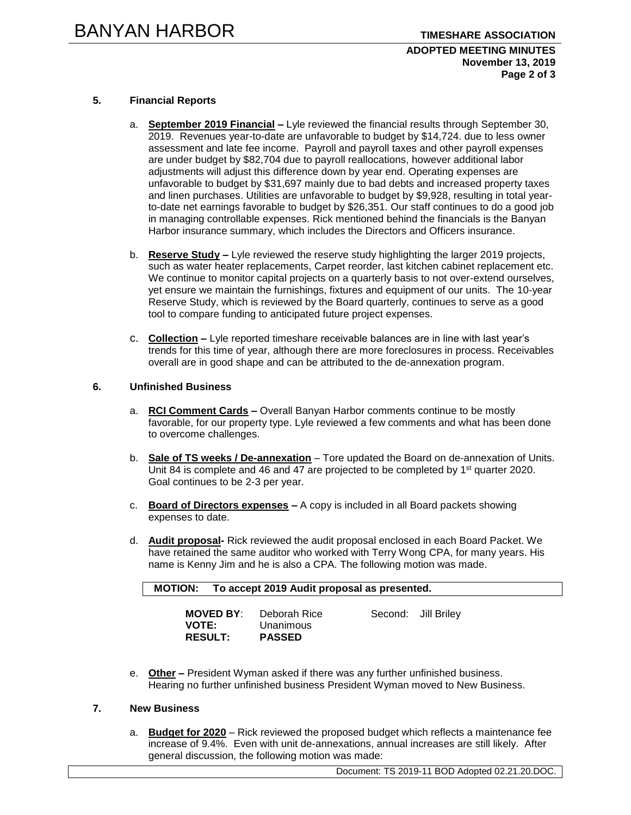### **ADOPTED MEETING MINUTES November 13, 2019 Page 2 of 3**

# **5. Financial Reports**

- a. **September 2019 Financial –** Lyle reviewed the financial results through September 30, 2019. Revenues year-to-date are unfavorable to budget by \$14,724. due to less owner assessment and late fee income. Payroll and payroll taxes and other payroll expenses are under budget by \$82,704 due to payroll reallocations, however additional labor adjustments will adjust this difference down by year end. Operating expenses are unfavorable to budget by \$31,697 mainly due to bad debts and increased property taxes and linen purchases. Utilities are unfavorable to budget by \$9,928, resulting in total yearto-date net earnings favorable to budget by \$26,351. Our staff continues to do a good job in managing controllable expenses. Rick mentioned behind the financials is the Banyan Harbor insurance summary, which includes the Directors and Officers insurance.
- b. **Reserve Study –** Lyle reviewed the reserve study highlighting the larger 2019 projects, such as water heater replacements, Carpet reorder, last kitchen cabinet replacement etc. We continue to monitor capital projects on a quarterly basis to not over-extend ourselves, yet ensure we maintain the furnishings, fixtures and equipment of our units. The 10-year Reserve Study, which is reviewed by the Board quarterly, continues to serve as a good tool to compare funding to anticipated future project expenses.
- c. **Collection –** Lyle reported timeshare receivable balances are in line with last year's trends for this time of year, although there are more foreclosures in process. Receivables overall are in good shape and can be attributed to the de-annexation program.

### **6. Unfinished Business**

- a. **RCI Comment Cards –** Overall Banyan Harbor comments continue to be mostly favorable, for our property type. Lyle reviewed a few comments and what has been done to overcome challenges.
- b. **Sale of TS weeks / De-annexation** Tore updated the Board on de-annexation of Units. Unit 84 is complete and 46 and 47 are projected to be completed by  $1<sup>st</sup>$  quarter 2020. Goal continues to be 2-3 per year.
- c. **Board of Directors expenses –** A copy is included in all Board packets showing expenses to date.
- d. **Audit proposal-** Rick reviewed the audit proposal enclosed in each Board Packet. We have retained the same auditor who worked with Terry Wong CPA, for many years. His name is Kenny Jim and he is also a CPA. The following motion was made.

| <b>MOTION:</b> | To accept 2019 Audit proposal as presented. |
|----------------|---------------------------------------------|
|                |                                             |

| <b>MOVED BY:</b> | Deborah Rice  | Second: Jill Briley |
|------------------|---------------|---------------------|
| <b>VOTE:</b>     | Unanimous     |                     |
| <b>RESULT:</b>   | <b>PASSED</b> |                     |

e. **Other –** President Wyman asked if there was any further unfinished business. Hearing no further unfinished business President Wyman moved to New Business.

# **7. New Business**

a. **Budget for 2020** – Rick reviewed the proposed budget which reflects a maintenance fee increase of 9.4%. Even with unit de-annexations, annual increases are still likely. After general discussion, the following motion was made:

Document: TS 2019-11 BOD Adopted 02.21.20.DOC.